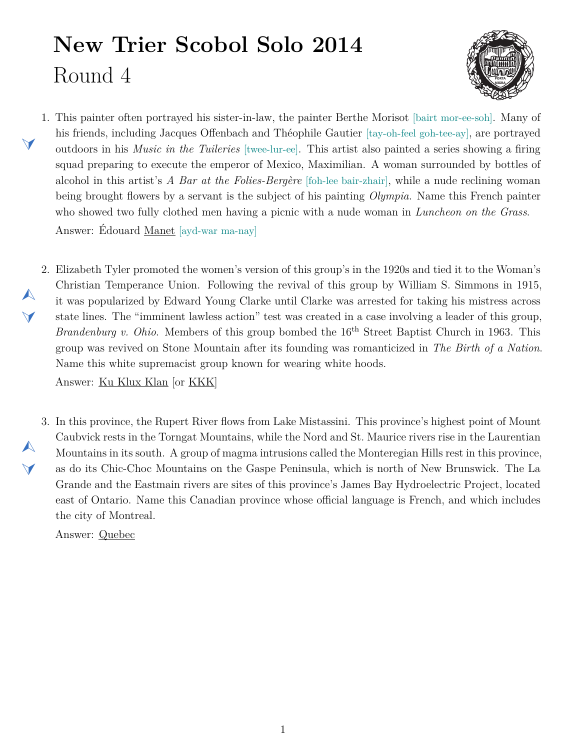## **New Trier Scobol Solo 2014** Round 4



- <span id="page-0-1"></span>1. This painter often portrayed his sister-in-law, the painter Berthe Morisot [bairt mor-ee-soh]. Many of his friends, including Jacques Offenbach and Théophile Gautier [tay-oh-feel goh-tee-ay], are portrayed outdoors in his *Music in the Tuileries* [twee-lur-ee]. This artist also painted a series showing a firing squad preparing to execute the emperor of Mexico, Maximilian. A woman surrounded by bottles of alcohol in this artist's *A Bar at the Folies-Bergère* [foh-lee bair-zhair], while a nude reclining woman being brought flowers by a servant is the subject of his painting *Olympia*. Name this French painter who showed two fully clothed men having a picnic with a nude woman in *Luncheon on the Grass*. Answer: Édouard Manet [ayd-war ma-nay]
- <span id="page-0-0"></span>2. Elizabeth Tyler promoted the women's version of this group's in the 1920s and tied it to the Woman's Christian Temperance Union. Following the revival of this group by William S. Simmons in 1915, it was popularized by Edward Young Clarke until Clarke was arrested for taking his mistress across state lines. The "imminent lawless action" test was created in a case involving a leader of this group, *Brandenburg v. Ohio.* Members of this group bombed the 16<sup>th</sup> Street Baptist Church in 1963. This group was revived on Stone Mountain after its founding was romanticized in *The Birth of a Nation*. Name this white supremacist group known for wearing white hoods.

Answer: Ku Klux Klan [or KKK]

<span id="page-0-2"></span>3. In this province, the Rupert River flows from Lake Mistassini. This province's highest point of Mount Caubvick rests in the Torngat Mountains, while the Nord and St. Maurice rivers rise in the Laurentian Mountains in its south. A group of magma intrusions called the Monteregian Hills rest in this province, as do its Chic-Choc Mountains on the Gaspe Peninsula, which is north of New Brunswick. The La Grande and the Eastmain rivers are sites of this province's James Bay Hydroelectric Project, located east of Ontario. Name this Canadian province whose official language is French, and which includes the city of Montreal.

Answer: Quebec

 $\blacktriangleleft$ 

 $\blacktriangle$ 

 $\blacktriangledown$ 

 $\blacktriangle$ 

 $\blacktriangledown$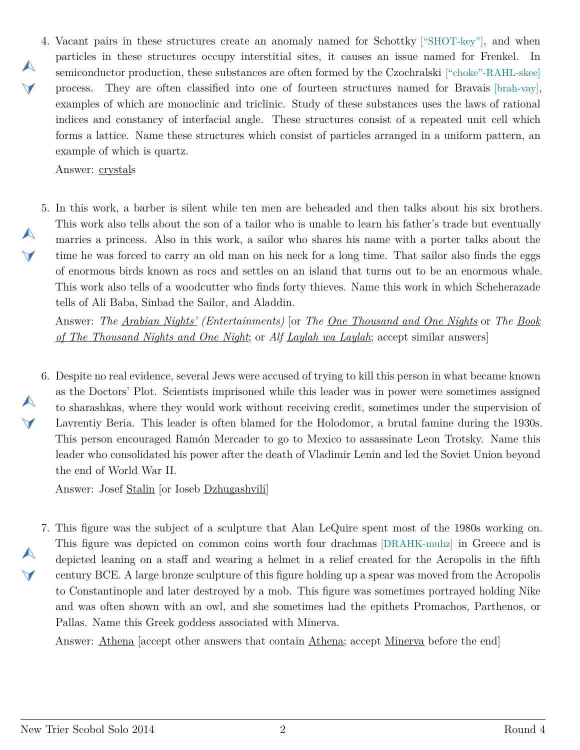<span id="page-1-0"></span>4. Vacant pairs in these structures create an anomaly named for Schottky ["SHOT-key"], and when  $\blacktriangle$  $\blacktriangledown$ particles in these structures occupy interstitial sites, it causes an issue named for Frenkel. In semiconductor production, these substances are often formed by the Czochralski ["choke"-RAHL-skee] process. They are often classified into one of fourteen structures named for Bravais [brah-vay], examples of which are monoclinic and triclinic. Study of these substances uses the laws of rational indices and constancy of interfacial angle. These structures consist of a repeated unit cell which forms a lattice. Name these structures which consist of particles arranged in a uniform pattern, an example of which is quartz.

Answer: crystals

 $\blacktriangle$ 

 $\blacktriangledown$ 

 $\blacktriangle$ 

 $\blacktriangledown$ 

 $\blacktriangle$ 

 $\blacktriangleleft$ 

<span id="page-1-1"></span>5. In this work, a barber is silent while ten men are beheaded and then talks about his six brothers. This work also tells about the son of a tailor who is unable to learn his father's trade but eventually marries a princess. Also in this work, a sailor who shares his name with a porter talks about the time he was forced to carry an old man on his neck for a long time. That sailor also finds the eggs of enormous birds known as rocs and settles on an island that turns out to be an enormous whale. This work also tells of a woodcutter who finds forty thieves. Name this work in which Scheherazade tells of Ali Baba, Sinbad the Sailor, and Aladdin.

Answer: *The Arabian Nights' (Entertainments)* [or *The One Thousand and One Nights* or *The Book of The Thousand Nights and One Night*; or *Alf Laylah wa Laylah*; accept similar answers]

<span id="page-1-2"></span>6. Despite no real evidence, several Jews were accused of trying to kill this person in what became known as the Doctors' Plot. Scientists imprisoned while this leader was in power were sometimes assigned to sharashkas, where they would work without receiving credit, sometimes under the supervision of Lavrentiy Beria. This leader is often blamed for the Holodomor, a brutal famine during the 1930s. This person encouraged Ramón Mercader to go to Mexico to assassinate Leon Trotsky. Name this leader who consolidated his power after the death of Vladimir Lenin and led the Soviet Union beyond the end of World War II.

Answer: Josef Stalin [or Ioseb Dzhugashvili]

<span id="page-1-3"></span>7. This figure was the subject of a sculpture that Alan LeQuire spent most of the 1980s working on. This figure was depicted on common coins worth four drachmas [DRAHK-muhz] in Greece and is depicted leaning on a staff and wearing a helmet in a relief created for the Acropolis in the fifth century BCE. A large bronze sculpture of this figure holding up a spear was moved from the Acropolis to Constantinople and later destroyed by a mob. This figure was sometimes portrayed holding Nike and was often shown with an owl, and she sometimes had the epithets Promachos, Parthenos, or Pallas. Name this Greek goddess associated with Minerva.

Answer: Athena [accept other answers that contain Athena; accept Minerva before the end]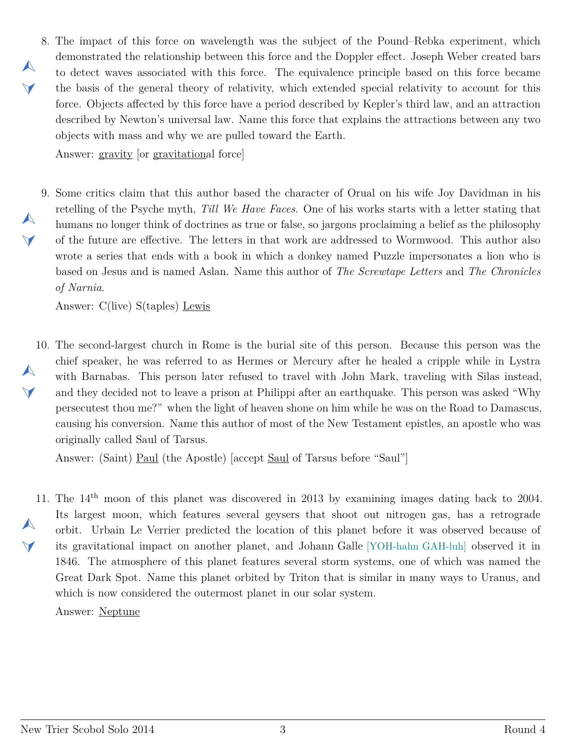<span id="page-2-0"></span>8. The impact of this force on wavelength was the subject of the Pound–Rebka experiment, which demonstrated the relationship between this force and the Doppler effect. Joseph Weber created bars to detect waves associated with this force. The equivalence principle based on this force became the basis of the general theory of relativity, which extended special relativity to account for this force. Objects affected by this force have a period described by Kepler's third law, and an attraction described by Newton's universal law. Name this force that explains the attractions between any two objects with mass and why we are pulled toward the Earth.

Answer: gravity [or gravitational force]

 $\blacktriangle$ 

 $\blacktriangledown$ 

 $\blacktriangle$ 

 $\vee$ 

<span id="page-2-1"></span>9. Some critics claim that this author based the character of Orual on his wife Joy Davidman in his retelling of the Psyche myth, *Till We Have Faces*. One of his works starts with a letter stating that humans no longer think of doctrines as true or false, so jargons proclaiming a belief as the philosophy of the future are effective. The letters in that work are addressed to Wormwood. This author also wrote a series that ends with a book in which a donkey named Puzzle impersonates a lion who is based on Jesus and is named Aslan. Name this author of *The Screwtape Letters* and *The Chronicles of Narnia*.

Answer: C(live) S(taples) Lewis

<span id="page-2-2"></span>10. The second-largest church in Rome is the burial site of this person. Because this person was the  $\blacktriangle$  $\blacktriangledown$ chief speaker, he was referred to as Hermes or Mercury after he healed a cripple while in Lystra with Barnabas. This person later refused to travel with John Mark, traveling with Silas instead, and they decided not to leave a prison at Philippi after an earthquake. This person was asked "Why persecutest thou me?" when the light of heaven shone on him while he was on the Road to Damascus, causing his conversion. Name this author of most of the New Testament epistles, an apostle who was originally called Saul of Tarsus.

Answer: (Saint) Paul (the Apostle) [accept Saul of Tarsus before "Saul"]

<span id="page-2-3"></span>11. The 14<sup>th</sup> moon of this planet was discovered in 2013 by examining images dating back to 2004.  $\blacktriangle$  $\blacktriangledown$ Its largest moon, which features several geysers that shoot out nitrogen gas, has a retrograde orbit. Urbain Le Verrier predicted the location of this planet before it was observed because of its gravitational impact on another planet, and Johann Galle [YOH-hahn GAH-luh] observed it in 1846. The atmosphere of this planet features several storm systems, one of which was named the Great Dark Spot. Name this planet orbited by Triton that is similar in many ways to Uranus, and which is now considered the outermost planet in our solar system.

Answer: Neptune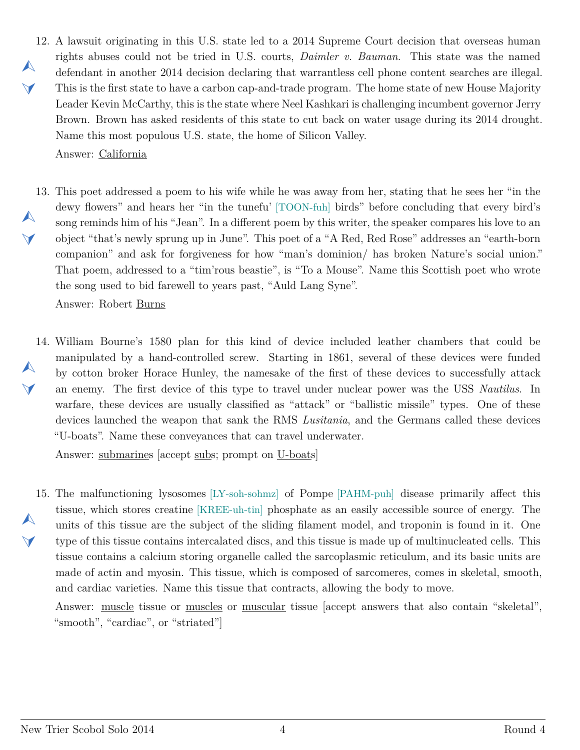<span id="page-3-0"></span>12. A lawsuit originating in this U.S. state led to a 2014 Supreme Court decision that overseas human  $\blacktriangle$  $\vee$ rights abuses could not be tried in U.S. courts, *Daimler v. Bauman*. This state was the named defendant in another 2014 decision declaring that warrantless cell phone content searches are illegal. This is the first state to have a carbon cap-and-trade program. The home state of new House Majority Leader Kevin McCarthy, this is the state where Neel Kashkari is challenging incumbent governor Jerry Brown. Brown has asked residents of this state to cut back on water usage during its 2014 drought. Name this most populous U.S. state, the home of Silicon Valley.

Answer: California

<span id="page-3-1"></span>13. This poet addressed a poem to his wife while he was away from her, stating that he sees her "in the  $\blacktriangle$  $\blacktriangledown$ dewy flowers" and hears her "in the tunefu' [TOON-fuh] birds" before concluding that every bird's song reminds him of his "Jean". In a different poem by this writer, the speaker compares his love to an object "that's newly sprung up in June". This poet of a "A Red, Red Rose" addresses an "earth-born companion" and ask for forgiveness for how "man's dominion/ has broken Nature's social union." That poem, addressed to a "tim'rous beastie", is "To a Mouse". Name this Scottish poet who wrote the song used to bid farewell to years past, "Auld Lang Syne".

Answer: Robert Burns

<span id="page-3-2"></span>14. William Bourne's 1580 plan for this kind of device included leather chambers that could be  $\blacktriangle$  $\blacktriangleleft$ manipulated by a hand-controlled screw. Starting in 1861, several of these devices were funded by cotton broker Horace Hunley, the namesake of the first of these devices to successfully attack an enemy. The first device of this type to travel under nuclear power was the USS *Nautilus*. In warfare, these devices are usually classified as "attack" or "ballistic missile" types. One of these devices launched the weapon that sank the RMS *Lusitania*, and the Germans called these devices "U-boats". Name these conveyances that can travel underwater.

Answer: submarines [accept subs; prompt on U-boats]

<span id="page-3-3"></span>15. The malfunctioning lysosomes [LY-soh-sohmz] of Pompe [PAHM-puh] disease primarily affect this  $\blacktriangle$  $\blacktriangleleft$ tissue, which stores creatine [KREE-uh-tin] phosphate as an easily accessible source of energy. The units of this tissue are the subject of the sliding filament model, and troponin is found in it. One type of this tissue contains intercalated discs, and this tissue is made up of multinucleated cells. This tissue contains a calcium storing organelle called the sarcoplasmic reticulum, and its basic units are made of actin and myosin. This tissue, which is composed of sarcomeres, comes in skeletal, smooth, and cardiac varieties. Name this tissue that contracts, allowing the body to move.

Answer: muscle tissue or muscles or muscular tissue [accept answers that also contain "skeletal", "smooth", "cardiac", or "striated"]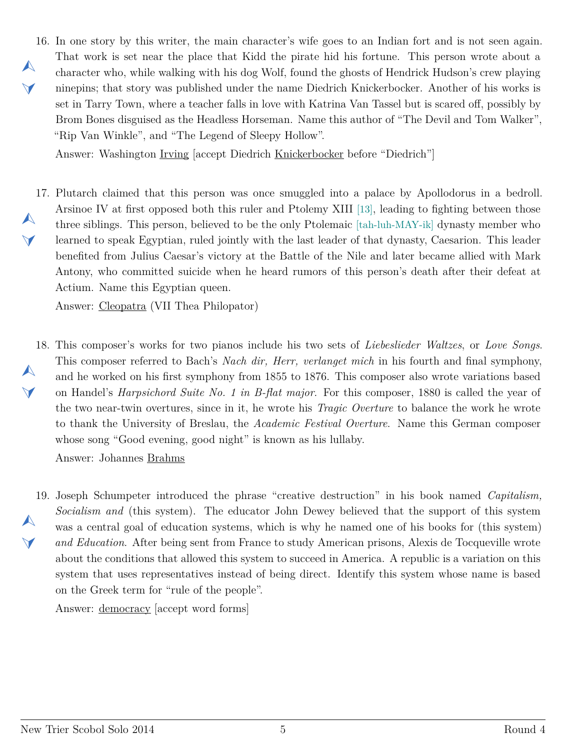<span id="page-4-0"></span>16. In one story by this writer, the main character's wife goes to an Indian fort and is not seen again.  $\blacktriangle$  $\vee$ That work is set near the place that Kidd the pirate hid his fortune. This person wrote about a character who, while walking with his dog Wolf, found the ghosts of Hendrick Hudson's crew playing ninepins; that story was published under the name Diedrich Knickerbocker. Another of his works is set in Tarry Town, where a teacher falls in love with Katrina Van Tassel but is scared off, possibly by Brom Bones disguised as the Headless Horseman. Name this author of "The Devil and Tom Walker", "Rip Van Winkle", and "The Legend of Sleepy Hollow".

Answer: Washington Irving [accept Diedrich Knickerbocker before "Diedrich"]

<span id="page-4-1"></span>17. Plutarch claimed that this person was once smuggled into a palace by Apollodorus in a bedroll.  $\blacktriangle$  $\vee$ Arsinoe IV at first opposed both this ruler and Ptolemy XIII [13], leading to fighting between those three siblings. This person, believed to be the only Ptolemaic [tah-luh-MAY-ik] dynasty member who learned to speak Egyptian, ruled jointly with the last leader of that dynasty, Caesarion. This leader benefited from Julius Caesar's victory at the Battle of the Nile and later became allied with Mark Antony, who committed suicide when he heard rumors of this person's death after their defeat at Actium. Name this Egyptian queen.

Answer: Cleopatra (VII Thea Philopator)

<span id="page-4-2"></span>18. This composer's works for two pianos include his two sets of *Liebeslieder Waltzes*, or *Love Songs*.  $\blacktriangle$  $\blacktriangleleft$ This composer referred to Bach's *Nach dir, Herr, verlanget mich* in his fourth and final symphony, and he worked on his first symphony from 1855 to 1876. This composer also wrote variations based on Handel's *Harpsichord Suite No. 1 in B-flat major*. For this composer, 1880 is called the year of the two near-twin overtures, since in it, he wrote his *Tragic Overture* to balance the work he wrote to thank the University of Breslau, the *Academic Festival Overture*. Name this German composer whose song "Good evening, good night" is known as his lullaby. Answer: Johannes Brahms

<span id="page-4-3"></span>19. Joseph Schumpeter introduced the phrase "creative destruction" in his book named *Capitalism,*  $\blacktriangle$  $\blacktriangleleft$ *Socialism and* (this system). The educator John Dewey believed that the support of this system was a central goal of education systems, which is why he named one of his books for (this system) *and Education*. After being sent from France to study American prisons, Alexis de Tocqueville wrote about the conditions that allowed this system to succeed in America. A republic is a variation on this system that uses representatives instead of being direct. Identify this system whose name is based on the Greek term for "rule of the people".

Answer: democracy [accept word forms]